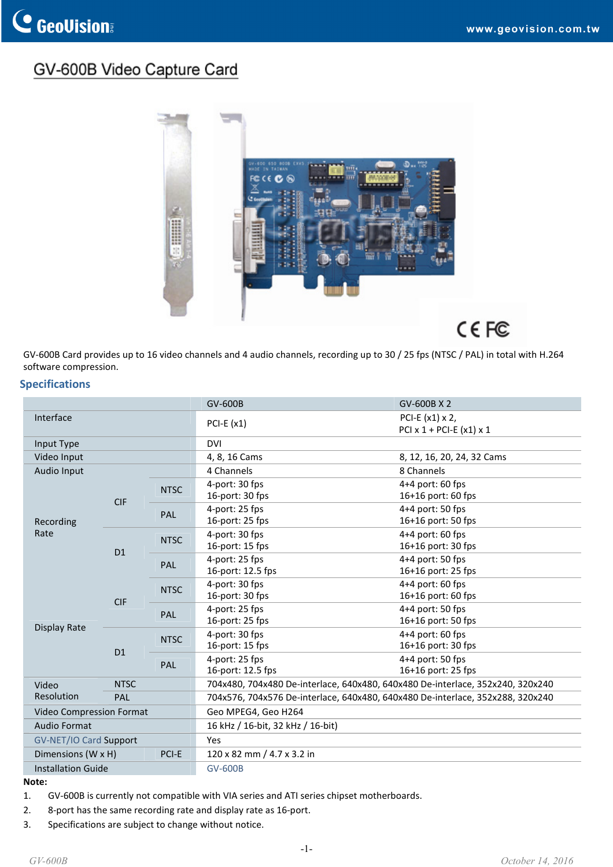# GV-600B Video Capture Card



GV‐600B Card provides up to 16 video channels and 4 audio channels, recording up to 30 / 25 fps (NTSC / PAL) in total with H.264 software compression.

#### **Specifications**

|                             |                |             | GV-600B                                                                        | GV-600B X 2                                       |  |
|-----------------------------|----------------|-------------|--------------------------------------------------------------------------------|---------------------------------------------------|--|
| Interface                   |                |             | $PCI-E (x1)$                                                                   | PCI-E (x1) x 2,<br>PCI $x$ 1 + PCI-E $(x1)$ $x$ 1 |  |
| Input Type                  |                |             | <b>DVI</b>                                                                     |                                                   |  |
| Video Input                 |                |             | 4, 8, 16 Cams                                                                  | 8, 12, 16, 20, 24, 32 Cams                        |  |
| Audio Input                 |                |             | 4 Channels                                                                     | 8 Channels                                        |  |
| Recording<br>Rate           | <b>CIF</b>     | <b>NTSC</b> | 4-port: 30 fps<br>16-port: 30 fps                                              | $4+4$ port: 60 fps<br>16+16 port: 60 fps          |  |
|                             |                | PAL         | 4-port: 25 fps<br>16-port: 25 fps                                              | 4+4 port: 50 fps<br>16+16 port: 50 fps            |  |
|                             | D1             | <b>NTSC</b> | 4-port: 30 fps<br>16-port: 15 fps                                              | 4+4 port: 60 fps<br>16+16 port: 30 fps            |  |
|                             |                | PAL         | 4-port: 25 fps<br>16-port: 12.5 fps                                            | 4+4 port: 50 fps<br>16+16 port: 25 fps            |  |
| Display Rate                | <b>CIF</b>     | <b>NTSC</b> | 4-port: 30 fps<br>16-port: 30 fps                                              | 4+4 port: 60 fps<br>16+16 port: 60 fps            |  |
|                             |                | <b>PAL</b>  | 4-port: 25 fps<br>16-port: 25 fps                                              | $4+4$ port: 50 fps<br>16+16 port: 50 fps          |  |
|                             | D <sub>1</sub> | <b>NTSC</b> | 4-port: 30 fps<br>16-port: 15 fps                                              | $4+4$ port: 60 fps<br>16+16 port: 30 fps          |  |
|                             |                | PAL         | 4-port: 25 fps<br>16-port: 12.5 fps                                            | 4+4 port: 50 fps<br>16+16 port: 25 fps            |  |
| Video                       | <b>NTSC</b>    |             | 704x480, 704x480 De-interlace, 640x480, 640x480 De-interlace, 352x240, 320x240 |                                                   |  |
| Resolution                  | PAL            |             | 704x576, 704x576 De-interlace, 640x480, 640x480 De-interlace, 352x288, 320x240 |                                                   |  |
| Video Compression Format    |                |             | Geo MPEG4, Geo H264                                                            |                                                   |  |
| Audio Format                |                |             | 16 kHz / 16-bit, 32 kHz / 16-bit)                                              |                                                   |  |
| GV-NET/IO Card Support      |                |             | <b>Yes</b>                                                                     |                                                   |  |
| PCI-E<br>Dimensions (W x H) |                |             | 120 x 82 mm / 4.7 x 3.2 in                                                     |                                                   |  |
| <b>Installation Guide</b>   |                |             | <b>GV-600B</b>                                                                 |                                                   |  |

#### **Note:**

- 1. GV‐600B is currently not compatible with VIA series and ATI series chipset motherboards.
- 2. 8‐port has the same recording rate and display rate as 16‐port.
- 3. Specifications are subject to change without notice.